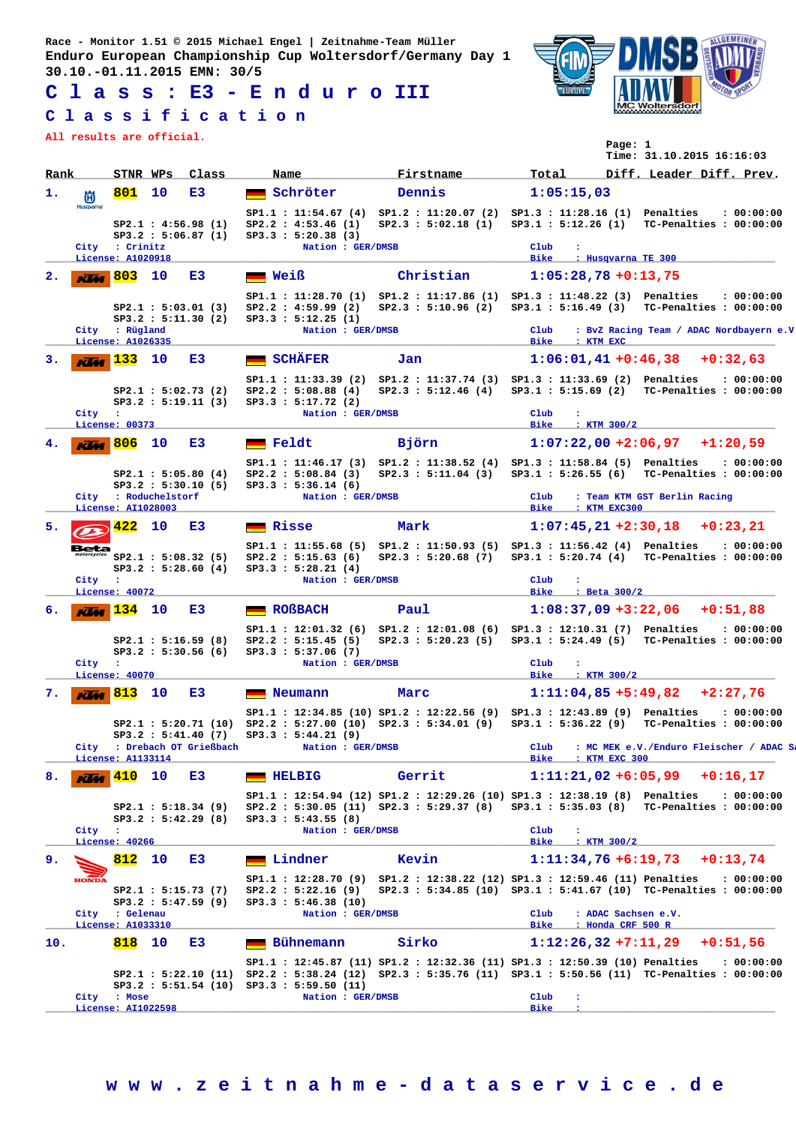**Race - Monitor 1.51 © 2015 Michael Engel | Zeitnahme-Team Müller Enduro European Championship Cup Woltersdorf/Germany Day 1 30.10.-01.11.2015 EMN: 30/5**

**C l a s s : E3 - E n d u r o III**

## **C l a s s i f i c a t i o n**

**All results are official.**



**Page: 1**

|      |                  |                                                     |                                            |       |                                                                                                                                                                                                                                 |                                                                        |                                                            |                    | Time: 31.10.2015 16:16:03               |            |
|------|------------------|-----------------------------------------------------|--------------------------------------------|-------|---------------------------------------------------------------------------------------------------------------------------------------------------------------------------------------------------------------------------------|------------------------------------------------------------------------|------------------------------------------------------------|--------------------|-----------------------------------------|------------|
| Rank |                  | STNR WPs                                            |                                            | Class | Name                                                                                                                                                                                                                            | Firstname                                                              | Total                                                      |                    | Diff. Leader Diff. Prev.                |            |
| 1.   | 尚                | 801                                                 | 10                                         | E3    | Schröter                                                                                                                                                                                                                        | Dennis                                                                 | 1:05:15,03                                                 |                    |                                         |            |
|      | <b>Husqvarna</b> | City : Crinitz                                      | SP2.1 : 4:56.98 (1)<br>SP3.2 : 5:06.87(1)  |       | SP1.1: 11:54.67 (4) SP1.2: 11:20.07 (2) SP1.3: 11:28.16 (1) Penalties<br>SP2.2 : 4:53.46 (1)<br>SP3.3 : 5:20.38 (3)<br>Nation : GER/DMSB                                                                                        | SP2.3 : 5:02.18 (1) SP3.1 : 5:12.26 (1) TC-Penalties : 00:00:00        | Club                                                       |                    |                                         | : 00:00:00 |
|      |                  | License: A1020918                                   |                                            |       |                                                                                                                                                                                                                                 |                                                                        | Bike                                                       | : Husqvarna TE 300 |                                         |            |
| 2.   | Klia             | <b>803</b>                                          | 10                                         | E3    | <b>Weiß</b>                                                                                                                                                                                                                     | Christian                                                              | $1:05:28,78+0:13,75$                                       |                    |                                         |            |
|      |                  | City : Rügland                                      | SP2.1 : 5:03.01 (3)<br>SP3.2 : 5:11.30 (2) |       | SP1.1: 11:28.70 (1) SP1.2: 11:17.86 (1) SP1.3: 11:48.22 (3) Penalties<br>SP2.2 : 4:59.99(2)<br>SP3.3 : 5:12.25 (1)<br>Nation : GER/DMSB                                                                                         | SP2.3 : 5:10.96 (2)                                                    | SP3.1: 5:16.49 (3) TC-Penalties: 00:00:00<br>$_{\rm Club}$ |                    | : BvZ Racing Team / ADAC Nordbayern e.V | : 00:00:00 |
|      |                  | License: A1026335                                   |                                            |       |                                                                                                                                                                                                                                 |                                                                        | Bike<br>: KTM EXC                                          |                    |                                         |            |
| з.   |                  | $\overline{\text{KU}_4}$ $\overline{\text{133}}$ 10 | SP2.1 : 5:02.73(2)                         | E3    | SCHÄFER<br>SP1.1: 11:33.39 (2) SP1.2: 11:37.74 (3) SP1.3: 11:33.69 (2) Penalties<br>SP2.2 : 5:08.88 (4)                                                                                                                         | Jan<br>SP2.3 : 5:12.46 (4) SP3.1 : 5:15.69 (2) TC-Penalties : 00:00:00 |                                                            |                    | $1:06:01,41+0:46,38+0:32,63$            | : 00:00:00 |
|      | City :           |                                                     | SP3.2 : 5:19.11(3)                         |       | SP3.3 : 5:17.72 (2)<br>Nation : GER/DMSB                                                                                                                                                                                        |                                                                        | Club<br>$\ddot{\phantom{a}}$                               |                    |                                         |            |
|      |                  | License: 00373<br>806 10                            |                                            | E3    | $\blacksquare$ Feldt                                                                                                                                                                                                            | Björn                                                                  | Bike : KTM 300/2                                           |                    | $1:07:22.00 + 2:06.97 + 1:20.59$        |            |
|      | Klia             |                                                     | SP2.1 : 5:05.80(4)                         |       | SP1.1: 11:46.17 (3) SP1.2: 11:38.52 (4) SP1.3: 11:58.84 (5) Penalties<br>SP2.2: 5:08.84 (3) SP2.3: 5:11.04 (3) SP3.1: 5:26.55 (6) TC-Penalties: 00:00:00                                                                        |                                                                        |                                                            |                    |                                         | : 00:00:00 |
|      |                  | City : Roduchelstorf<br>License: AI1028003          | SP3.2 : 5:30.10(5)                         |       | SP3.3 : 5:36.14(6)<br>Nation : GER/DMSB                                                                                                                                                                                         |                                                                        | Club<br>Bike : KTM EXC300                                  |                    | : Team KTM GST Berlin Racing            |            |
| 5.   |                  | 422                                                 | 10                                         | E3    | <b>Exisse</b>                                                                                                                                                                                                                   | Mark                                                                   |                                                            |                    | $1:07:45,21+2:30,18$ +0:23,21           |            |
|      | ---              | SP2.1 : 5:08.32(5)                                  | SP3.2 : 5:28.60(4)                         |       | SP1.1: 11:55.68 (5) SP1.2: 11:50.93 (5) SP1.3: 11:56.42 (4) Penalties<br>SP2.2: 5:15.63 (6) SP2.3: 5:20.68 (7) SP3.1: 5:20.74 (4) TC-Penalties: 00:00:00<br>SP3.3 : 5:28.21 (4)                                                 |                                                                        |                                                            |                    |                                         | : 00:00:00 |
|      | City :           | License: 40072                                      |                                            |       | Nation : GER/DMSB                                                                                                                                                                                                               |                                                                        | $_{\rm Club}$<br>÷<br>Bike : Beta 300/2                    |                    |                                         |            |
| 6.   | <b>Klas</b>      | <b>134</b> 10                                       |                                            | E3    | ROßBACH                                                                                                                                                                                                                         | Paul                                                                   |                                                            |                    | $1:08:37,09$ +3:22,06 +0:51,88          |            |
|      |                  | SP2.1 : 5:16.59(8)                                  | SP3.2 : 5:30.56(6)                         |       | SP1.1: 12:01.32 (6) SP1.2: 12:01.08 (6) SP1.3: 12:10.31 (7) Penalties<br>SP2.2 : 5:15.45(5)<br>SP3.3 : 5:37.06 (7)                                                                                                              | SP2.3 : 5:20.23 (5) SP3.1 : 5:24.49 (5) TC-Penalties : 00:00:00        |                                                            |                    |                                         | : 00:00:00 |
|      | City             | $\sim$ 100<br>License: 40070                        |                                            |       | Nation : GER/DMSB                                                                                                                                                                                                               |                                                                        | Club<br>÷<br>Bike                                          | $:$ KTM $300/2$    |                                         |            |
| 7.   | Klia             | $\sqrt{813}$                                        | 10                                         | E3    | Neumann                                                                                                                                                                                                                         | Marc                                                                   |                                                            |                    | $1:11:04,85 +5:49,82 +2:27,76$          |            |
|      |                  |                                                     | SP3.2 : 5:41.40(7)                         |       | SP1.1: 12:34.85 (10) SP1.2: 12:22.56 (9) SP1.3: 12:43.89 (9) Penalties<br>SP2.1: 5:20.71 (10) SP2.2: 5:27.00 (10) SP2.3: 5:34.01 (9) SP3.1: 5:36.22 (9) TC-Penalties: 00:00:00<br>SP3.3 : 5:44.21 (9)                           |                                                                        |                                                            |                    |                                         | : 00:00:00 |
|      | City             | : Drebach OT Grießbach<br>License: A1133114         |                                            |       | Nation : GER/DMSB                                                                                                                                                                                                               |                                                                        | Club<br>Bike                                               | : KTM EXC 300      | : MC MEK e.V./Enduro Fleischer / ADAC S |            |
| 8.   |                  | 410                                                 | 10                                         | E3    | <b>HELBIG</b>                                                                                                                                                                                                                   | Gerrit                                                                 |                                                            |                    | $1:11:21,02 + 6:05,99 + 0:16,17$        |            |
|      |                  |                                                     | SP2.1 : 5:18.34 (9)<br>SP3.2 : 5:42.29(8)  |       | SP1.1: 12:54.94 (12) SP1.2: 12:29.26 (10) SP1.3: 12:38.19 (8) Penalties<br>SP2.2: 5:30.05 (11) SP2.3: 5:29.37 (8) SP3.1: 5:35.03 (8) TC-Penalties: 00:00:00<br>SP3.3 : 5:43.55(8)                                               |                                                                        |                                                            |                    |                                         | : 00:00:00 |
|      | City :           | License: 40266                                      |                                            |       | Nation : GER/DMSB                                                                                                                                                                                                               |                                                                        | Club<br>$\mathbf{r}$<br><b>Bike</b>                        | : KTM 300/2        |                                         |            |
| 9.   |                  | 812                                                 | 10                                         | E3    | Lindner                                                                                                                                                                                                                         | Kevin                                                                  | $1:11:34,76+6:19,73$                                       |                    |                                         | $+0:13,74$ |
|      | <b>HONDA</b>     |                                                     | SP2.1 : 5:15.73(7)<br>SP3.2 : 5:47.59 (9)  |       | SP1.1: 12:28.70 (9) SP1.2: 12:38.22 (12) SP1.3: 12:59.46 (11) Penalties<br>SP2.2 : 5:22.16 (9)<br>SP3.3 : 5:46.38 (10)                                                                                                          | SP2.3: 5:34.85 (10) SP3.1: 5:41.67 (10) TC-Penalties: 00:00:00         |                                                            |                    |                                         | : 00:00:00 |
|      | City             | : Gelenau<br>License: A1033310                      |                                            |       | Nation : GER/DMSB                                                                                                                                                                                                               |                                                                        | $_{\rm Club}$<br>Bike                                      | : Honda CRF 500 R  | : ADAC Sachsen e.V.                     |            |
| 10.  |                  | 818                                                 | 10                                         | E3    | Bühnemann                                                                                                                                                                                                                       | Sirko                                                                  | $1:12:26,32+7:11,29$                                       |                    |                                         | $+0:51,56$ |
|      |                  |                                                     |                                            |       | SP1.1: 12:45.87 (11) SP1.2: 12:32.36 (11) SP1.3: 12:50.39 (10) Penalties<br>SP2.1: 5:22.10 (11) SP2.2: 5:38.24 (12) SP2.3: 5:35.76 (11) SP3.1: 5:50.56 (11) TC-Penalties: 00:00:00<br>SP3.2 : 5:51.54 (10) SP3.3 : 5:59.50 (11) |                                                                        |                                                            |                    |                                         | : 00:00:00 |
|      |                  | City : Mose<br>License: AI1022598                   |                                            |       | Nation : GER/DMSB                                                                                                                                                                                                               |                                                                        | Club<br>$\cdot$<br><b>Bike</b>                             |                    |                                         |            |